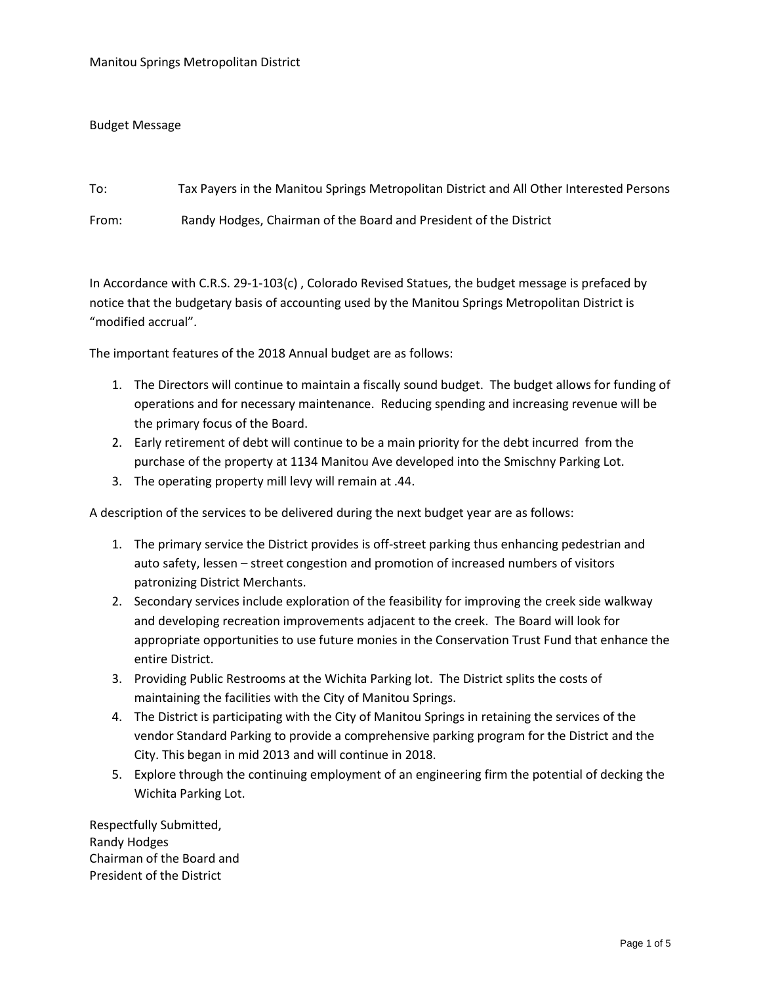## Budget Message

To: Tax Payers in the Manitou Springs Metropolitan District and All Other Interested Persons From: Randy Hodges, Chairman of the Board and President of the District

In Accordance with C.R.S. 29-1-103(c) , Colorado Revised Statues, the budget message is prefaced by notice that the budgetary basis of accounting used by the Manitou Springs Metropolitan District is "modified accrual".

The important features of the 2018 Annual budget are as follows:

- 1. The Directors will continue to maintain a fiscally sound budget. The budget allows for funding of operations and for necessary maintenance. Reducing spending and increasing revenue will be the primary focus of the Board.
- 2. Early retirement of debt will continue to be a main priority for the debt incurred from the purchase of the property at 1134 Manitou Ave developed into the Smischny Parking Lot.
- 3. The operating property mill levy will remain at .44.

A description of the services to be delivered during the next budget year are as follows:

- 1. The primary service the District provides is off-street parking thus enhancing pedestrian and auto safety, lessen – street congestion and promotion of increased numbers of visitors patronizing District Merchants.
- 2. Secondary services include exploration of the feasibility for improving the creek side walkway and developing recreation improvements adjacent to the creek. The Board will look for appropriate opportunities to use future monies in the Conservation Trust Fund that enhance the entire District.
- 3. Providing Public Restrooms at the Wichita Parking lot. The District splits the costs of maintaining the facilities with the City of Manitou Springs.
- 4. The District is participating with the City of Manitou Springs in retaining the services of the vendor Standard Parking to provide a comprehensive parking program for the District and the City. This began in mid 2013 and will continue in 2018.
- 5. Explore through the continuing employment of an engineering firm the potential of decking the Wichita Parking Lot.

Respectfully Submitted, Randy Hodges Chairman of the Board and President of the District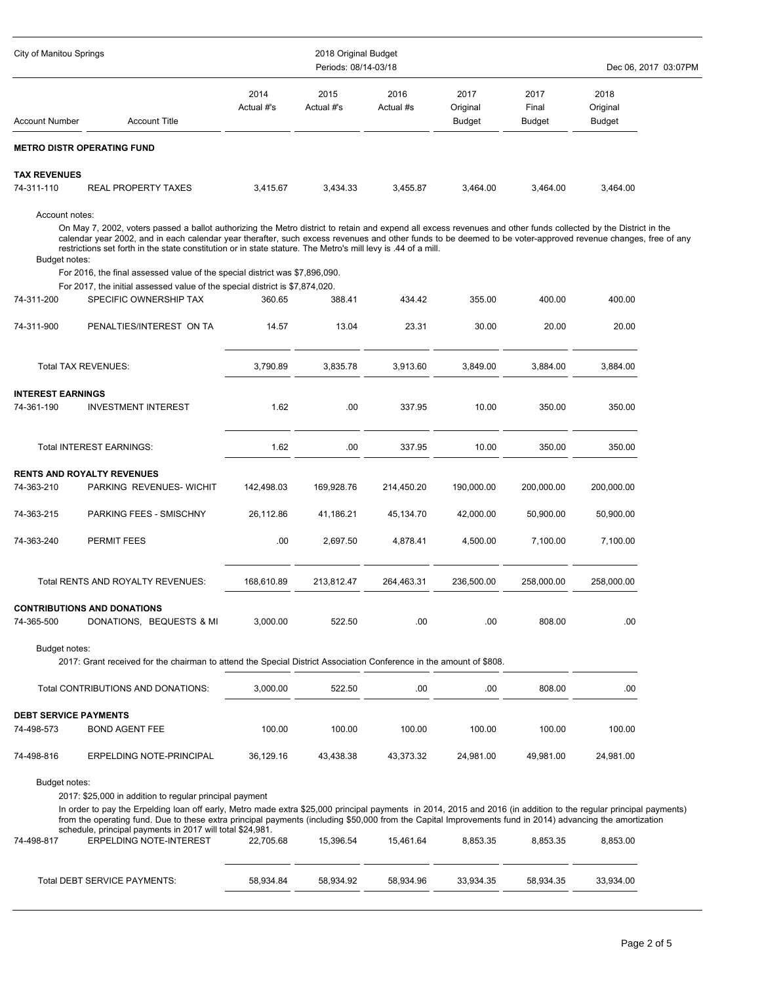| City of Manitou Springs                    |                                                                                                                                                                                                                                                                                                                                                                                                                                                                                                                                 |                    | 2018 Original Budget<br>Periods: 08/14-03/18 |                   | Dec 06, 2017 03:07PM              |                                |                                   |  |
|--------------------------------------------|---------------------------------------------------------------------------------------------------------------------------------------------------------------------------------------------------------------------------------------------------------------------------------------------------------------------------------------------------------------------------------------------------------------------------------------------------------------------------------------------------------------------------------|--------------------|----------------------------------------------|-------------------|-----------------------------------|--------------------------------|-----------------------------------|--|
| Account Number                             | <b>Account Title</b>                                                                                                                                                                                                                                                                                                                                                                                                                                                                                                            | 2014<br>Actual #'s | 2015<br>Actual #'s                           | 2016<br>Actual #s | 2017<br>Original<br><b>Budget</b> | 2017<br>Final<br><b>Budget</b> | 2018<br>Original<br><b>Budget</b> |  |
|                                            | METRO DISTR OPERATING FUND                                                                                                                                                                                                                                                                                                                                                                                                                                                                                                      |                    |                                              |                   |                                   |                                |                                   |  |
| <b>TAX REVENUES</b>                        |                                                                                                                                                                                                                                                                                                                                                                                                                                                                                                                                 |                    |                                              |                   |                                   |                                |                                   |  |
| 74-311-110                                 | REAL PROPERTY TAXES                                                                                                                                                                                                                                                                                                                                                                                                                                                                                                             | 3,415.67           | 3,434.33                                     | 3,455.87          | 3,464.00                          | 3,464.00                       | 3,464.00                          |  |
| Account notes:<br>Budget notes:            | On May 7, 2002, voters passed a ballot authorizing the Metro district to retain and expend all excess revenues and other funds collected by the District in the<br>calendar year 2002, and in each calendar year therafter, such excess revenues and other funds to be deemed to be voter-approved revenue changes, free of any<br>restrictions set forth in the state constitution or in state stature. The Metro's mill levy is .44 of a mill.<br>For 2016, the final assessed value of the special district was \$7,896,090. |                    |                                              |                   |                                   |                                |                                   |  |
|                                            | For 2017, the initial assessed value of the special district is \$7,874,020.                                                                                                                                                                                                                                                                                                                                                                                                                                                    |                    |                                              |                   |                                   |                                |                                   |  |
| 74-311-200                                 | SPECIFIC OWNERSHIP TAX                                                                                                                                                                                                                                                                                                                                                                                                                                                                                                          | 360.65             | 388.41                                       | 434.42            | 355.00                            | 400.00                         | 400.00                            |  |
| 74-311-900                                 | PENALTIES/INTEREST ON TA                                                                                                                                                                                                                                                                                                                                                                                                                                                                                                        | 14.57              | 13.04                                        | 23.31             | 30.00                             | 20.00                          | 20.00                             |  |
|                                            | <b>Total TAX REVENUES:</b>                                                                                                                                                                                                                                                                                                                                                                                                                                                                                                      | 3,790.89           | 3,835.78                                     | 3,913.60          | 3,849.00                          | 3,884.00                       | 3.884.00                          |  |
| <b>INTEREST EARNINGS</b>                   |                                                                                                                                                                                                                                                                                                                                                                                                                                                                                                                                 |                    |                                              |                   |                                   |                                |                                   |  |
| 74-361-190                                 | <b>INVESTMENT INTEREST</b>                                                                                                                                                                                                                                                                                                                                                                                                                                                                                                      | 1.62               | .00                                          | 337.95            | 10.00                             | 350.00                         | 350.00                            |  |
|                                            | <b>Total INTEREST EARNINGS:</b>                                                                                                                                                                                                                                                                                                                                                                                                                                                                                                 | 1.62               | .00                                          | 337.95            | 10.00                             | 350.00                         | 350.00                            |  |
|                                            | <b>RENTS AND ROYALTY REVENUES</b>                                                                                                                                                                                                                                                                                                                                                                                                                                                                                               |                    |                                              |                   |                                   |                                |                                   |  |
| 74-363-210                                 | PARKING REVENUES- WICHIT                                                                                                                                                                                                                                                                                                                                                                                                                                                                                                        | 142,498.03         | 169,928.76                                   | 214,450.20        | 190,000.00                        | 200,000.00                     | 200,000.00                        |  |
| 74-363-215                                 | PARKING FEES - SMISCHNY                                                                                                                                                                                                                                                                                                                                                                                                                                                                                                         | 26,112.86          | 41,186.21                                    | 45,134.70         | 42,000.00                         | 50,900.00                      | 50,900.00                         |  |
| 74-363-240                                 | PERMIT FEES                                                                                                                                                                                                                                                                                                                                                                                                                                                                                                                     | .00                | 2,697.50                                     | 4,878.41          | 4,500.00                          | 7,100.00                       | 7,100.00                          |  |
|                                            | Total RENTS AND ROYALTY REVENUES:                                                                                                                                                                                                                                                                                                                                                                                                                                                                                               | 168,610.89         | 213,812.47                                   | 264,463.31        | 236,500.00                        | 258.000.00                     | 258,000.00                        |  |
| 74-365-500                                 | CONTRIBUTIONS AND DONATIONS<br>DONATIONS, BEQUESTS & MI                                                                                                                                                                                                                                                                                                                                                                                                                                                                         | 3,000.00           | 522.50                                       | .00               | .00.                              | 808.00                         | .00                               |  |
| Budget notes:                              | 2017: Grant received for the chairman to attend the Special District Association Conference in the amount of \$808.                                                                                                                                                                                                                                                                                                                                                                                                             |                    |                                              |                   |                                   |                                |                                   |  |
|                                            | Total CONTRIBUTIONS AND DONATIONS:                                                                                                                                                                                                                                                                                                                                                                                                                                                                                              | 3,000.00           | 522.50                                       | .00               | .00                               | 808.00                         | .00                               |  |
| <b>DEBT SERVICE PAYMENTS</b><br>74-498-573 | <b>BOND AGENT FEE</b>                                                                                                                                                                                                                                                                                                                                                                                                                                                                                                           | 100.00             | 100.00                                       | 100.00            | 100.00                            | 100.00                         | 100.00                            |  |
| 74-498-816                                 | ERPELDING NOTE-PRINCIPAL                                                                                                                                                                                                                                                                                                                                                                                                                                                                                                        | 36,129.16          | 43,438.38                                    | 43,373.32         | 24,981.00                         | 49,981.00                      | 24,981.00                         |  |
| Budget notes:<br>74-498-817                | 2017: \$25,000 in addition to regular principal payment<br>In order to pay the Erpelding loan off early, Metro made extra \$25,000 principal payments in 2014, 2015 and 2016 (in addition to the regular principal payments)<br>from the operating fund. Due to these extra principal payments (including \$50,000 from the Capital Improvements fund in 2014) advancing the amortization<br>schedule, principal payments in 2017 will total \$24,981.<br><b>ERPELDING NOTE-INTEREST</b>                                        | 22,705.68          | 15,396.54                                    | 15,461.64         | 8,853.35                          | 8,853.35                       | 8,853.00                          |  |
|                                            | Total DEBT SERVICE PAYMENTS:                                                                                                                                                                                                                                                                                                                                                                                                                                                                                                    | 58,934.84          | 58,934.92                                    | 58,934.96         | 33,934.35                         | 58,934.35                      | 33,934.00                         |  |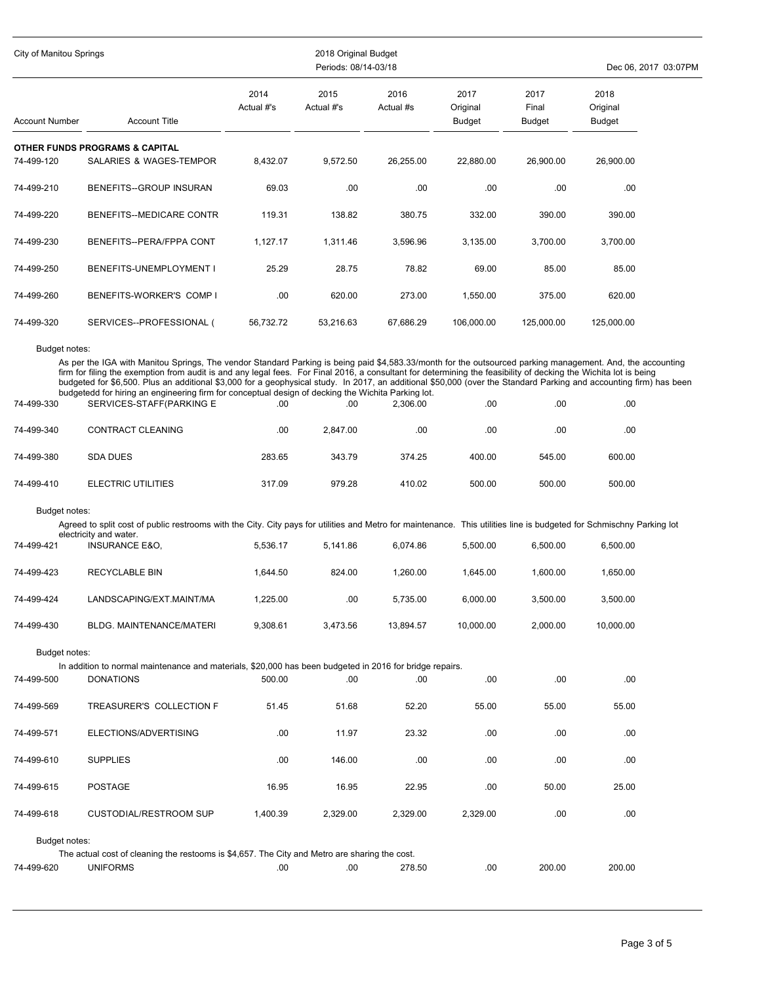| City of Manitou Springs     |                                                                                                                                                                                                                                                                                                                                                                                                                                                                                                                                                                                                                                        |                    | 2018 Original Budget<br>Periods: 08/14-03/18 |                   |                                   |                                |                            | Dec 06, 2017 03:07PM |
|-----------------------------|----------------------------------------------------------------------------------------------------------------------------------------------------------------------------------------------------------------------------------------------------------------------------------------------------------------------------------------------------------------------------------------------------------------------------------------------------------------------------------------------------------------------------------------------------------------------------------------------------------------------------------------|--------------------|----------------------------------------------|-------------------|-----------------------------------|--------------------------------|----------------------------|----------------------|
| <b>Account Number</b>       | <b>Account Title</b>                                                                                                                                                                                                                                                                                                                                                                                                                                                                                                                                                                                                                   | 2014<br>Actual #'s | 2015<br>Actual #'s                           | 2016<br>Actual #s | 2017<br>Original<br><b>Budget</b> | 2017<br>Final<br><b>Budget</b> | 2018<br>Original<br>Budget |                      |
| 74-499-120                  | <b>OTHER FUNDS PROGRAMS &amp; CAPITAL</b><br>SALARIES & WAGES-TEMPOR                                                                                                                                                                                                                                                                                                                                                                                                                                                                                                                                                                   | 8,432.07           | 9,572.50                                     | 26,255.00         | 22,880.00                         | 26,900.00                      | 26,900.00                  |                      |
| 74-499-210                  | BENEFITS-GROUP INSURAN                                                                                                                                                                                                                                                                                                                                                                                                                                                                                                                                                                                                                 | 69.03              | .00                                          | .00.              | .00.                              | .00                            | .00                        |                      |
| 74-499-220                  | BENEFITS--MEDICARE CONTR                                                                                                                                                                                                                                                                                                                                                                                                                                                                                                                                                                                                               | 119.31             | 138.82                                       | 380.75            | 332.00                            | 390.00                         | 390.00                     |                      |
| 74-499-230                  | BENEFITS--PERA/FPPA CONT                                                                                                                                                                                                                                                                                                                                                                                                                                                                                                                                                                                                               | 1,127.17           | 1,311.46                                     | 3,596.96          | 3,135.00                          | 3,700.00                       | 3,700.00                   |                      |
| 74-499-250                  | BENEFITS-UNEMPLOYMENT I                                                                                                                                                                                                                                                                                                                                                                                                                                                                                                                                                                                                                | 25.29              | 28.75                                        | 78.82             | 69.00                             | 85.00                          | 85.00                      |                      |
| 74-499-260                  | BENEFITS-WORKER'S COMP I                                                                                                                                                                                                                                                                                                                                                                                                                                                                                                                                                                                                               | .00                | 620.00                                       | 273.00            | 1,550.00                          | 375.00                         | 620.00                     |                      |
| 74-499-320                  | SERVICES--PROFESSIONAL (                                                                                                                                                                                                                                                                                                                                                                                                                                                                                                                                                                                                               | 56,732.72          | 53,216.63                                    | 67,686.29         | 106,000.00                        | 125,000.00                     | 125,000.00                 |                      |
| Budget notes:<br>74-499-330 | As per the IGA with Manitou Springs, The vendor Standard Parking is being paid \$4,583.33/month for the outsourced parking management. And, the accounting<br>firm for filing the exemption from audit is and any legal fees. For Final 2016, a consultant for determining the feasibility of decking the Wichita lot is being<br>budgeted for \$6,500. Plus an additional \$3,000 for a geophysical study. In 2017, an additional \$50,000 (over the Standard Parking and accounting firm) has been<br>budgetedd for hiring an engineering firm for conceptual design of decking the Wichita Parking lot.<br>SERVICES-STAFF(PARKING E | .00                | .00                                          | 2,306.00          | .00.                              | .00                            | .00                        |                      |
| 74-499-340                  | CONTRACT CLEANING                                                                                                                                                                                                                                                                                                                                                                                                                                                                                                                                                                                                                      | .00                | 2,847.00                                     | .00.              | .00                               | .00                            | .00                        |                      |
| 74-499-380                  | <b>SDA DUES</b>                                                                                                                                                                                                                                                                                                                                                                                                                                                                                                                                                                                                                        | 283.65             | 343.79                                       | 374.25            | 400.00                            | 545.00                         | 600.00                     |                      |
| 74-499-410                  | <b>ELECTRIC UTILITIES</b>                                                                                                                                                                                                                                                                                                                                                                                                                                                                                                                                                                                                              | 317.09             | 979.28                                       | 410.02            | 500.00                            | 500.00                         | 500.00                     |                      |
| Budget notes:<br>74-499-421 | Agreed to split cost of public restrooms with the City. City pays for utilities and Metro for maintenance. This utilities line is budgeted for Schmischny Parking lot<br>electricity and water.<br><b>INSURANCE E&amp;O,</b>                                                                                                                                                                                                                                                                                                                                                                                                           | 5,536.17           | 5,141.86                                     | 6,074.86          | 5,500.00                          | 6,500.00                       | 6,500.00                   |                      |
| 74-499-423                  | RECYCLABLE BIN                                                                                                                                                                                                                                                                                                                                                                                                                                                                                                                                                                                                                         | 1.644.50           | 824.00                                       | 1,260.00          | 1,645.00                          | 1,600.00                       | 1,650.00                   |                      |
| 74-499-424                  | LANDSCAPING/EXT.MAINT/MA                                                                                                                                                                                                                                                                                                                                                                                                                                                                                                                                                                                                               | 1,225.00           | .00                                          | 5,735.00          | 6,000.00                          | 3,500.00                       | 3,500.00                   |                      |
| 74-499-430                  | BLDG. MAINTENANCE/MATERI                                                                                                                                                                                                                                                                                                                                                                                                                                                                                                                                                                                                               | 9,308.61           | 3,473.56                                     | 13,894.57         | 10,000.00                         | 2,000.00                       | 10,000.00                  |                      |
| Budget notes:               |                                                                                                                                                                                                                                                                                                                                                                                                                                                                                                                                                                                                                                        |                    |                                              |                   |                                   |                                |                            |                      |
| 74-499-500                  | In addition to normal maintenance and materials, \$20,000 has been budgeted in 2016 for bridge repairs.<br><b>DONATIONS</b>                                                                                                                                                                                                                                                                                                                                                                                                                                                                                                            | 500.00             | .00                                          | .00.              | .00                               | .00                            | .00                        |                      |
| 74-499-569                  | TREASURER'S COLLECTION F                                                                                                                                                                                                                                                                                                                                                                                                                                                                                                                                                                                                               | 51.45              | 51.68                                        | 52.20             | 55.00                             | 55.00                          | 55.00                      |                      |
| 74-499-571                  | ELECTIONS/ADVERTISING                                                                                                                                                                                                                                                                                                                                                                                                                                                                                                                                                                                                                  | .00                | 11.97                                        | 23.32             | .00                               | .00                            | .00                        |                      |
| 74-499-610                  | <b>SUPPLIES</b>                                                                                                                                                                                                                                                                                                                                                                                                                                                                                                                                                                                                                        | .00                | 146.00                                       | .00               | .00                               | .00                            | .00                        |                      |
| 74-499-615                  | <b>POSTAGE</b>                                                                                                                                                                                                                                                                                                                                                                                                                                                                                                                                                                                                                         | 16.95              | 16.95                                        | 22.95             | .00                               | 50.00                          | 25.00                      |                      |
| 74-499-618                  | <b>CUSTODIAL/RESTROOM SUP</b>                                                                                                                                                                                                                                                                                                                                                                                                                                                                                                                                                                                                          | 1,400.39           | 2,329.00                                     | 2,329.00          | 2,329.00                          | .00                            | .00                        |                      |
| Budget notes:               | The actual cost of cleaning the restooms is \$4,657. The City and Metro are sharing the cost.                                                                                                                                                                                                                                                                                                                                                                                                                                                                                                                                          |                    |                                              |                   |                                   |                                |                            |                      |
| 74-499-620                  | <b>UNIFORMS</b>                                                                                                                                                                                                                                                                                                                                                                                                                                                                                                                                                                                                                        | .00                | .00                                          | 278.50            | .00                               | 200.00                         | 200.00                     |                      |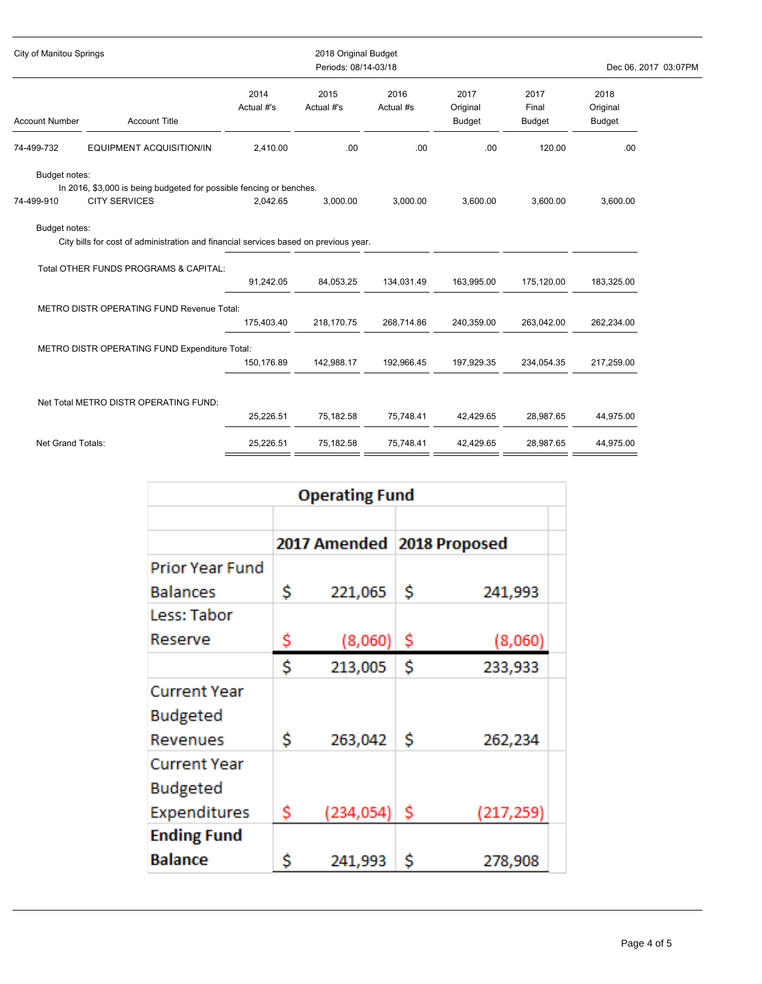| City of Manitou Springs     |                                                                                             |                    | 2018 Original Budget<br>Periods: 08/14-03/18 |                   |                                   |                                |                                   | Dec 06, 2017 03:07PM |
|-----------------------------|---------------------------------------------------------------------------------------------|--------------------|----------------------------------------------|-------------------|-----------------------------------|--------------------------------|-----------------------------------|----------------------|
| <b>Account Number</b>       | <b>Account Title</b>                                                                        | 2014<br>Actual #'s | 2015<br>Actual #'s                           | 2016<br>Actual #s | 2017<br>Original<br><b>Budget</b> | 2017<br>Final<br><b>Budget</b> | 2018<br>Original<br><b>Budget</b> |                      |
| 74-499-732                  | EQUIPMENT ACQUISITION/IN                                                                    | 2,410.00           | .00                                          | .00               | .00                               | 120.00                         | .00                               |                      |
| Budget notes:<br>74-499-910 | In 2016, \$3,000 is being budgeted for possible fencing or benches.<br><b>CITY SERVICES</b> | 2.042.65           | 3,000.00                                     | 3,000.00          | 3,600.00                          | 3,600.00                       | 3,600.00                          |                      |
| Budget notes:               | City bills for cost of administration and financial services based on previous year.        |                    |                                              |                   |                                   |                                |                                   |                      |
|                             | Total OTHER FUNDS PROGRAMS & CAPITAL:                                                       | 91,242.05          | 84,053.25                                    | 134,031.49        | 163,995.00                        | 175,120.00                     | 183,325.00                        |                      |
|                             | METRO DISTR OPERATING FUND Revenue Total:                                                   | 175,403.40         | 218,170.75                                   | 268,714.86        | 240,359.00                        | 263,042.00                     | 262,234.00                        |                      |
|                             | METRO DISTR OPERATING FUND Expenditure Total:                                               | 150,176.89         | 142,988.17                                   | 192,966.45        | 197,929.35                        | 234,054.35                     | 217,259.00                        |                      |
|                             | Net Total METRO DISTR OPERATING FUND:                                                       | 25,226.51          | 75,182.58                                    | 75,748.41         | 42,429.65                         | 28,987.65                      | 44,975.00                         |                      |
| Net Grand Totals:           |                                                                                             | 25,226.51          | 75,182.58                                    | 75,748.41         | 42,429.65                         | 28,987.65                      | 44,975.00                         |                      |

| <b>Operating Fund</b>                           |                              |           |    |           |  |  |  |  |  |
|-------------------------------------------------|------------------------------|-----------|----|-----------|--|--|--|--|--|
|                                                 | 2017 Amended   2018 Proposed |           |    |           |  |  |  |  |  |
| Prior Year Fund                                 |                              |           |    |           |  |  |  |  |  |
| <b>Balances</b>                                 | \$                           | 221,065   | \$ | 241,993   |  |  |  |  |  |
| Less: Tabor                                     |                              |           |    |           |  |  |  |  |  |
| Reserve                                         | Ş                            | (8,060)   | -S | (8,060)   |  |  |  |  |  |
|                                                 | Ś                            | 213,005   | Ś  | 233,933   |  |  |  |  |  |
| <b>Current Year</b><br>Budgeted<br>Revenues     | Ś                            | 263,042   | \$ | 262,234   |  |  |  |  |  |
| Current Year<br>Budgeted<br><b>Expenditures</b> | \$.                          | (234,054) | -S | (217,259) |  |  |  |  |  |
| <b>Ending Fund</b>                              |                              |           |    |           |  |  |  |  |  |
| <b>Balance</b>                                  | \$                           | 241,993   | Ŝ  | 278,908   |  |  |  |  |  |